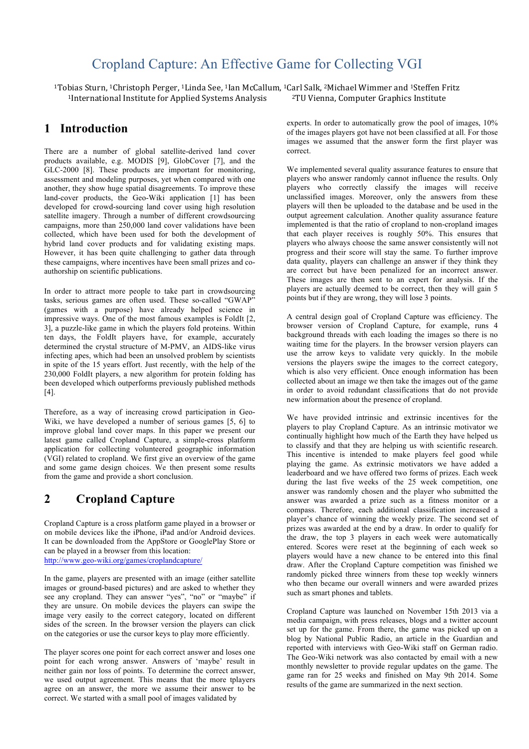# Cropland Capture: An Effective Game for Collecting VGI

<sup>1</sup>Tobias Sturn, <sup>1</sup>Christoph Perger, <sup>1</sup>Linda See, <sup>1</sup>Ian McCallum, <sup>1</sup>Carl Salk, <sup>2</sup>Michael Wimmer and <sup>1</sup>Steffen Fritz  $1$ International Institute for Applied Systems Analysis  $2$ TU Vienna, Computer Graphics Institute

## **1 Introduction**

There are a number of global satellite-derived land cover products available, e.g. MODIS [9], GlobCover [7], and the GLC-2000 [8]. These products are important for monitoring, assessment and modeling purposes, yet when compared with one another, they show huge spatial disagreements. To improve these land-cover products, the Geo-Wiki application [1] has been developed for crowd-sourcing land cover using high resolution satellite imagery. Through a number of different crowdsourcing campaigns, more than 250,000 land cover validations have been collected, which have been used for both the development of hybrid land cover products and for validating existing maps. However, it has been quite challenging to gather data through these campaigns, where incentives have been small prizes and coauthorship on scientific publications.

In order to attract more people to take part in crowdsourcing tasks, serious games are often used. These so-called "GWAP" (games with a purpose) have already helped science in impressive ways. One of the most famous examples is FoldIt [2, 3], a puzzle-like game in which the players fold proteins. Within ten days, the FoldIt players have, for example, accurately determined the crystal structure of M-PMV, an AIDS-like virus infecting apes, which had been an unsolved problem by scientists in spite of the 15 years effort. Just recently, with the help of the 230,000 FoldIt players, a new algorithm for protein folding has been developed which outperforms previously published methods [4].

Therefore, as a way of increasing crowd participation in Geo-Wiki, we have developed a number of serious games [5, 6] to improve global land cover maps. In this paper we present our latest game called Cropland Capture, a simple-cross platform application for collecting volunteered geographic information (VGI) related to cropland. We first give an overview of the game and some game design choices. We then present some results from the game and provide a short conclusion.

# **2 Cropland Capture**

Cropland Capture is a cross platform game played in a browser or on mobile devices like the iPhone, iPad and/or Android devices. It can be downloaded from the AppStore or GooglePlay Store or can be played in a browser from this location:

http://www.geo-wiki.org/games/croplandcapture/

In the game, players are presented with an image (either satellite images or ground-based pictures) and are asked to whether they see any cropland. They can answer "yes", "no" or "maybe" if they are unsure. On mobile devices the players can swipe the image very easily to the correct category, located on different sides of the screen. In the browser version the players can click on the categories or use the cursor keys to play more efficiently.

The player scores one point for each correct answer and loses one point for each wrong answer. Answers of 'maybe' result in neither gain nor loss of points. To determine the correct answer, we used output agreement. This means that the more tplayers agree on an answer, the more we assume their answer to be correct. We started with a small pool of images validated by

experts. In order to automatically grow the pool of images, 10% of the images players got have not been classified at all. For those images we assumed that the answer form the first player was correct.

We implemented several quality assurance features to ensure that players who answer randomly cannot influence the results. Only players who correctly classify the images will receive unclassified images. Moreover, only the answers from these players will then be uploaded to the database and be used in the output agreement calculation. Another quality assurance feature implemented is that the ratio of cropland to non-cropland images that each player receives is roughly 50%. This ensures that players who always choose the same answer consistently will not progress and their score will stay the same. To further improve data quality, players can challenge an answer if they think they are correct but have been penalized for an incorrect answer. These images are then sent to an expert for analysis. If the players are actually deemed to be correct, then they will gain 5 points but if they are wrong, they will lose 3 points.

A central design goal of Cropland Capture was efficiency. The browser version of Cropland Capture, for example, runs 4 background threads with each loading the images so there is no waiting time for the players. In the browser version players can use the arrow keys to validate very quickly. In the mobile versions the players swipe the images to the correct category, which is also very efficient. Once enough information has been collected about an image we then take the images out of the game in order to avoid redundant classifications that do not provide new information about the presence of cropland.

We have provided intrinsic and extrinsic incentives for the players to play Cropland Capture. As an intrinsic motivator we continually highlight how much of the Earth they have helped us to classify and that they are helping us with scientific research. This incentive is intended to make players feel good while playing the game. As extrinsic motivators we have added a leaderboard and we have offered two forms of prizes. Each week during the last five weeks of the 25 week competition, one answer was randomly chosen and the player who submitted the answer was awarded a prize such as a fitness monitor or a compass. Therefore, each additional classification increased a player's chance of winning the weekly prize. The second set of prizes was awarded at the end by a draw. In order to qualify for the draw, the top 3 players in each week were automatically entered. Scores were reset at the beginning of each week so players would have a new chance to be entered into this final draw. After the Cropland Capture competition was finished we randomly picked three winners from these top weekly winners who then became our overall winners and were awarded prizes such as smart phones and tablets.

Cropland Capture was launched on November 15th 2013 via a media campaign, with press releases, blogs and a twitter account set up for the game. From there, the game was picked up on a blog by National Public Radio, an article in the Guardian and reported with interviews with Geo-Wiki staff on German radio. The Geo-Wiki network was also contacted by email with a new monthly newsletter to provide regular updates on the game. The game ran for 25 weeks and finished on May 9th 2014. Some results of the game are summarized in the next section.